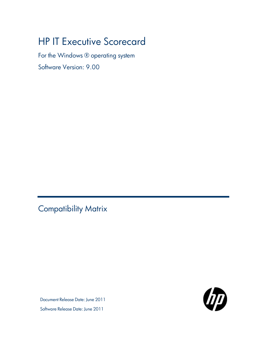# **HP IT Executive Scorecard**

For the Windows ® operating system

Software Version: 9.00

<span id="page-0-0"></span>Compatibility Matrix

Document Release Date: June 2011 Software Release Date: June 2011

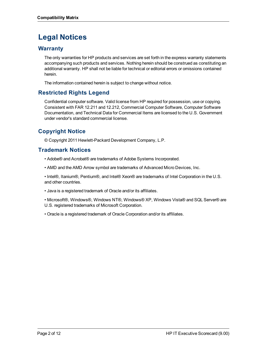## **Legal Notices**

### **Warranty**

The only warranties for HP products and services are set forth in the express warranty statements accompanying such products and services. Nothing herein should be construed as constituting an additional warranty. HP shall not be liable for technical or editorial errors or omissions contained herein.

The information contained herein is subject to change without notice.

### **Restricted Rights Legend**

Confidential computer software. Valid license from HP required for possession, use or copying. Consistent with FAR 12.211 and 12.212, Commercial Computer Software, Computer Software Documentation, and Technical Data for Commercial Items are licensed to the U.S. Government under vendor's standard commercial license.

## **Copyright Notice**

© Copyright 2011 Hewlett-Packard Development Company, L.P.

### **Trademark Notices**

- Adobe® and Acrobat® are trademarks of Adobe Systems Incorporated.
- AMD and the AMD Arrow symbol are trademarks of Advanced Micro Devices, Inc.

• Intel®, Itanium®, Pentium®, and Intel® Xeon® are trademarks of Intel Corporation in the U.S. and other countries.

• Java is a registered trademark of Oracle and/or its affiliates.

• Microsoft®, Windows®, Windows NT®, Windows® XP, Windows Vista® and SQL Server® are U.S. registered trademarks of Microsoft Corporation.

• Oracle is a registered trademark of Oracle Corporation and/or its affiliates.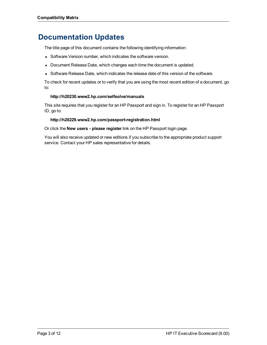## **Documentation Updates**

The title page of this document contains the following identifying information:

- Software Version number, which indicates the software version.
- Document Release Date, which changes each time the document is updated.
- Software Release Date, which indicates the release date of this version of the software.

To check for recent updates or to verify that you are using the most recent edition of a document, go to:

#### **http://h20230.www2.hp.com/selfsolve/manuals**

This site requires that you register for an HP Passport and sign in. To register for an HP Passport ID, go to:

#### **http://h20229.www2.hp.com/passport-registration.html**

Or click the **New users - please register** link on the HP Passport login page.

You will also receive updated or new editions if you subscribe to the appropriate product support service. Contact your HP sales representative for details.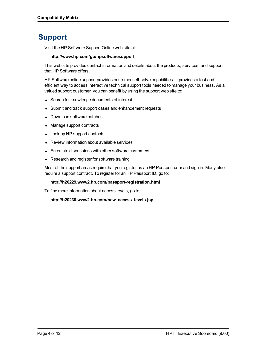## **Support**

Visit the HP Software Support Online web site at:

#### **http://www.hp.com/go/hpsoftwaresupport**

This web site provides contact information and details about the products, services, and support that HP Software offers.

HP Software online support provides customer self-solve capabilities. It provides a fast and efficient way to access interactive technical support tools needed to manage your business. As a valued support customer, you can benefit by using the support web site to:

- Search for knowledge documents of interest
- Submit and track support cases and enhancement requests
- Download software patches
- Manage support contracts
- Look up HP support contacts
- Review information about available services
- Enter into discussions with other software customers
- Research and register for software training

Most of the support areas require that you register as an HP Passport user and sign in. Many also require a support contract. To register for an HP Passport ID, go to:

#### **http://h20229.www2.hp.com/passport-registration.html**

To find more information about access levels, go to:

**http://h20230.www2.hp.com/new\_access\_levels.jsp**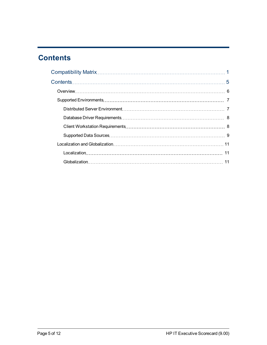## <span id="page-4-0"></span>**Contents**

| 11 |
|----|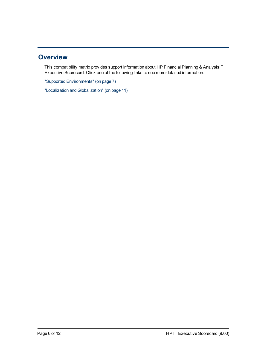### <span id="page-5-0"></span>**Overview**

This compatibility matrix provides support information about HP Financial Planning & AnalysisIT Executive Scorecard. Click one of the following links to see more detailed information.

["Supported](#page-6-0) [Environments"](#page-6-0) [\(on](#page-6-0) [page](#page-6-0) [7\)](#page-6-0)

["Localization](#page-10-0) [and](#page-10-0) [Globalization"](#page-10-0) [\(on](#page-10-0) [page](#page-10-0) [11\)](#page-10-0)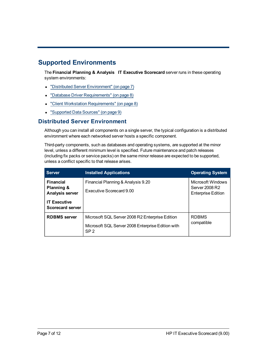## <span id="page-6-0"></span>**Supported Environments**

The **Financial Planning & Analysis IT Executive Scorecard** server runs in these operating system environments:

- ["Distributed](#page-6-1) [Server](#page-6-1) [Environment"](#page-6-1) [\(on](#page-6-1) [page](#page-6-1) [7\)](#page-6-1)
- ["Database](#page-7-0) [Driver](#page-7-0) [Requirements"](#page-7-0) [\(on](#page-7-0) [page](#page-7-0) [8\)](#page-7-0)
- ["Client](#page-7-1) [Workstation](#page-7-1) [Requirements"](#page-7-1) [\(on](#page-7-1) [page](#page-7-1) [8\)](#page-7-1)
- <span id="page-6-1"></span>• ["Supported](#page-8-0) [Data](#page-8-0) [Sources"](#page-8-0) [\(on](#page-8-0) [page](#page-8-0) [9\)](#page-8-0)

### **Distributed Server Environment**

Although you can install all components on a single server, the typical configuration is a distributed environment where each networked server hosts a specific component.

Third-party components, such as databases and operating systems, are supported at the minor level, unless a different minimum level is specified. Future maintenance and patch releases (including fix packs or service packs) on the same minor release are expected to be supported, unless a conflict specific to that release arises.

| <b>Server</b>                                                                                              | <b>Installed Applications</b>                                                                                           | <b>Operating System</b>                                          |
|------------------------------------------------------------------------------------------------------------|-------------------------------------------------------------------------------------------------------------------------|------------------------------------------------------------------|
| <b>Financial</b><br>Planning &<br><b>Analysis server</b><br><b>IT Executive</b><br><b>Scorecard server</b> | Financial Planning & Analysis 9.20<br>Executive Scorecard 9.00                                                          | Microsoft Windows<br>Server 2008 R2<br><b>Enterprise Edition</b> |
| <b>RDBMS</b> server                                                                                        | Microsoft SQL Server 2008 R2 Enterprise Edition<br>Microsoft SQL Server 2008 Enterprise Edition with<br>SP <sub>2</sub> | <b>RDBMS</b><br>compatible                                       |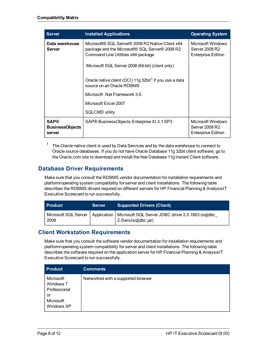| <b>Server</b>                                   | <b>Installed Applications</b>                                                                                                                                                                                                                                                                                                                                                     | <b>Operating System</b>                                          |
|-------------------------------------------------|-----------------------------------------------------------------------------------------------------------------------------------------------------------------------------------------------------------------------------------------------------------------------------------------------------------------------------------------------------------------------------------|------------------------------------------------------------------|
| Data warehouse<br>Server                        | Microsoft® SQL Server® 2008 R2 Native Client x64<br>package and the Microsoft® SQL Server® 2008 R2<br>Command Line Utilities x64 package<br>Microsoft SQL Server 2008 (64-bit) (client only)<br>Oracle native client (OCI) 11g 32bit <sup>1</sup> if you use a data<br>source on an Oracle RDBMS<br>Microsoft .Net Framework 3.5<br>Microsoft Excel 2007<br><b>SQLCMD utility</b> | Microsoft Windows<br>Server 2008 R2<br><b>Enterprise Edition</b> |
| <b>SAP®</b><br><b>BusinessObjects</b><br>server | SAP® BusinessObjects Enterprise XI 3.1 SP3                                                                                                                                                                                                                                                                                                                                        | Microsoft Windows<br>Server 2008 R2<br><b>Enterprise Edition</b> |

<sup>1</sup> The Oracle native client is used by Data Services and by the data warehouse to connect to Oracle source databases. If you do not have Oracle Database 11g 32bit client software, go to the Oracle.com site to download and install the free Database 11g Instant Client software.

### <span id="page-7-0"></span>**Database Driver Requirements**

Make sure that you consult the RDBMS vendor documentation for installation requirements and platform/operating system compatibility for server and client installations. The following table describes the RDBMS drivers required on different servers for HP Financial Planning & AnalysisIT Executive Scorecard to run successfully.

| <b>Product</b> | <b>Server</b> | <b>Supported Drivers (Client)</b>                                                                                |
|----------------|---------------|------------------------------------------------------------------------------------------------------------------|
| 2008           |               | Microsoft SQL Server   Application   Microsoft SQL Server JDBC driver 2.0.1803 (sqljdbc_<br>2.0\enu\sqljdbc.jar) |

### <span id="page-7-1"></span>**Client Workstation Requirements**

Make sure that you consult the software vendor documentation for installation requirements and platform/operating system compatibility for server and client installations. The following table describes the software required on the application server for HP Financial Planning & AnalysisIT Executive Scorecard to run successfully.

| <b>Product</b>                                                          | <b>Comments</b>                    |
|-------------------------------------------------------------------------|------------------------------------|
| Microsoft<br>Windows 7<br>Professional<br>or<br>Microsoft<br>Windows XP | Networked with a supported browser |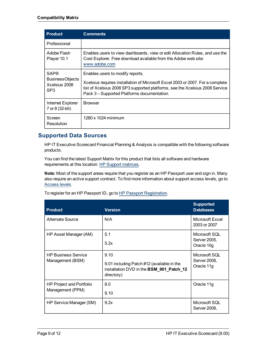| <b>Product</b>                                                | <b>Comments</b>                                                                                                                                                                                                                                   |
|---------------------------------------------------------------|---------------------------------------------------------------------------------------------------------------------------------------------------------------------------------------------------------------------------------------------------|
| Professional                                                  |                                                                                                                                                                                                                                                   |
| Adobe Flash<br>Player 10.1                                    | Enables users to view dashboards, view or edit Allocation Rules, and use the<br>Cost Explorer. Free download available from the Adobe web site:<br>www.adobe.com                                                                                  |
| <b>SAP®</b><br><b>BusinessObjects</b><br>Xcelsius 2008<br>SP3 | Enables users to modify reports.<br>Xcelsius requires installation of Microsoft Excel 2003 or 2007. For a complete<br>list of Xcelsius 2008 SP3 supported platforms, see the Xcelsius 2008 Service<br>Pack 3 - Supported Platforms documentation. |
| Internet Explorer<br>7 or 8 (32-bit)                          | <b>Browser</b>                                                                                                                                                                                                                                    |
| Screen<br>Resolution                                          | 1280 x 1024 minimum                                                                                                                                                                                                                               |

### <span id="page-8-0"></span>**Supported Data Sources**

HP IT Executive Scorecard Financial Planning & Analysis is compatible with the following software products.

You can find the latest Support Matrix for this product that lists all software and hardware requirements at this location: [HP](http://h20230.www2.hp.com/sc/support_matrices.jsp) [Support](http://h20230.www2.hp.com/sc/support_matrices.jsp) [matrices](http://h20230.www2.hp.com/sc/support_matrices.jsp).

**Note:** Most of the support areas require that you register as an HP Passport user and sign in. Many also require an active support contract. To find more information about support access levels, go to [Access](http://support.openview.hp.com/access_level.jsp) [levels.](http://support.openview.hp.com/access_level.jsp)

| <b>Product</b>                                 | <b>Version</b>                                                                                                      | <b>Supported</b><br><b>Databases</b>        |
|------------------------------------------------|---------------------------------------------------------------------------------------------------------------------|---------------------------------------------|
| Alternate Source                               | N/A                                                                                                                 | Microsoft Excel<br>2003 or 2007             |
| HP Asset Manager (AM)                          | 5.1<br>5.2x                                                                                                         | Microsoft SQL<br>Server 2005,<br>Oracle 10g |
| <b>HP Business Service</b><br>Management (BSM) | 9.10<br>9.01 including Patch #12 (available in the<br>installation DVD in the <b>BSM_901_Patch_12</b><br>directory) | Microsoft SQL<br>Server 2008,<br>Oracle 11g |
| HP Project and Portfolio<br>Management (PPM)   | 8.0<br>9.10                                                                                                         | Oracle 11g                                  |
| HP Service Manager (SM)                        | 9.2x                                                                                                                | Microsoft SQL<br>Server 2008,               |

To register for an HP Passport ID, go to [HP](http://h20229.www2.hp.com/passport-registration.html) [Passport](http://h20229.www2.hp.com/passport-registration.html) [Registration](http://h20229.www2.hp.com/passport-registration.html).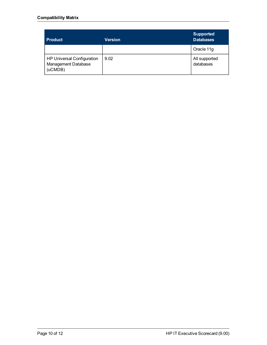| <b>Product</b>                                                      | Version | <b>Supported</b><br><b>Databases</b> |
|---------------------------------------------------------------------|---------|--------------------------------------|
|                                                                     |         | Oracle 11g                           |
| <b>HP Universal Configuration</b><br>Management Database<br>(uCMDB) | 9.02    | All supported<br>databases           |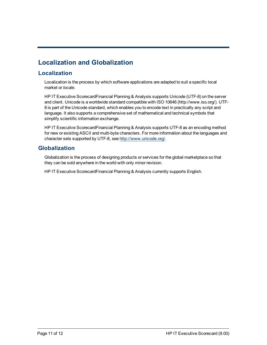## <span id="page-10-1"></span><span id="page-10-0"></span>**Localization and Globalization**

### **Localization**

Localization is the process by which software applications are adapted to suit a specific local market or *locale*.

HP IT Executive ScorecardFinancial Planning & Analysis supports Unicode (UTF-8) on the server and client. Unicode is a worldwide standard compatible with ISO 10646 (http://www.iso.org/). UTF-8 is part of the Unicode standard, which enables you to encode text in practically any script and language. It also supports a comprehensive set of mathematical and technical symbols that simplify scientific information exchange.

HP IT Executive ScorecardFinancial Planning & Analysis supports UTF-8 as an encoding method for new or existing ASCII and multi-byte characters. For more information about the languages and character sets supported by UTF-8, see [http://www.unicode.org/.](http://www.unicode.org/)

### <span id="page-10-2"></span>**Globalization**

Globalization is the process of designing products or services for the global marketplace so that they can be sold anywhere in the world with only minor revision.

HP IT Executive ScorecardFinancial Planning & Analysis currently supports English.